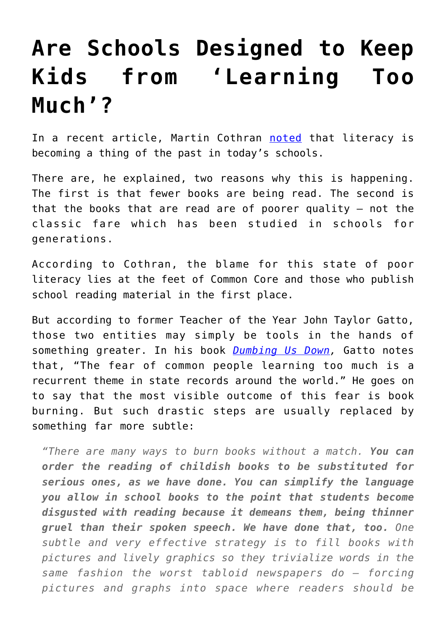## **[Are Schools Designed to Keep](https://intellectualtakeout.org/2016/11/are-schools-designed-to-keep-kids-from-learning-too-much/) [Kids from 'Learning Too](https://intellectualtakeout.org/2016/11/are-schools-designed-to-keep-kids-from-learning-too-much/) [Much'?](https://intellectualtakeout.org/2016/11/are-schools-designed-to-keep-kids-from-learning-too-much/)**

In a recent article, Martin Cothran [noted](https://www.intellectualtakeout.org/blog/schools-shouldnt-replace-classic-lit-young-adult-fiction) that literacy is becoming a thing of the past in today's schools.

There are, he explained, two reasons why this is happening. The first is that fewer books are being read. The second is that the books that are read are of poorer quality – not the classic fare which has been studied in schools for generations.

According to Cothran, the blame for this state of poor literacy lies at the feet of Common Core and those who publish school reading material in the first place.

But according to former Teacher of the Year John Taylor Gatto, those two entities may simply be tools in the hands of something greater. In his book *[Dumbing Us Down,](https://www.amazon.com/gp/product/0865714487/ref=as_li_qf_sp_asin_il_tl?ie=UTF8&tag=intelltakeo0d-20&camp=1789&creative=9325&linkCode=as2&creativeASIN=0865714487&linkId=63417e97f433b4cc3f44888a77ae6da5)* Gatto notes that, "The fear of common people learning too much is a recurrent theme in state records around the world." He goes on to say that the most visible outcome of this fear is book burning. But such drastic steps are usually replaced by something far more subtle:

*"There are many ways to burn books without a match. You can order the reading of childish books to be substituted for serious ones, as we have done. You can simplify the language you allow in school books to the point that students become disgusted with reading because it demeans them, being thinner gruel than their spoken speech. We have done that, too. One subtle and very effective strategy is to fill books with pictures and lively graphics so they trivialize words in the same fashion the worst tabloid newspapers do – forcing pictures and graphs into space where readers should be*